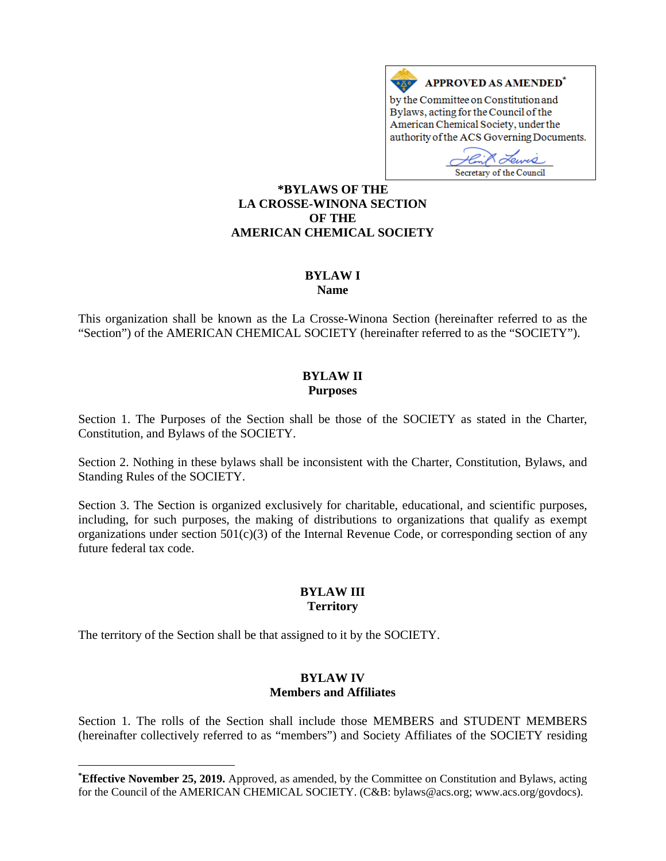

Secretary of the Council

### **[\\*](#page-0-0)BYLAWS OF THE LA CROSSE-WINONA SECTION OF THE AMERICAN CHEMICAL SOCIETY**

## **BYLAW I**

**Name**

This organization shall be known as the La Crosse-Winona Section (hereinafter referred to as the "Section") of the AMERICAN CHEMICAL SOCIETY (hereinafter referred to as the "SOCIETY").

#### **BYLAW II Purposes**

Section 1. The Purposes of the Section shall be those of the SOCIETY as stated in the Charter, Constitution, and Bylaws of the SOCIETY.

Section 2. Nothing in these bylaws shall be inconsistent with the Charter, Constitution, Bylaws, and Standing Rules of the SOCIETY.

Section 3. The Section is organized exclusively for charitable, educational, and scientific purposes, including, for such purposes, the making of distributions to organizations that qualify as exempt organizations under section  $501(c)(3)$  of the Internal Revenue Code, or corresponding section of any future federal tax code.

### **BYLAW III Territory**

The territory of the Section shall be that assigned to it by the SOCIETY.

 $\overline{a}$ 

#### **BYLAW IV Members and Affiliates**

Section 1. The rolls of the Section shall include those MEMBERS and STUDENT MEMBERS (hereinafter collectively referred to as "members") and Society Affiliates of the SOCIETY residing

<span id="page-0-0"></span>**<sup>\*</sup> Effective November 25, 2019.** Approved, as amended, by the Committee on Constitution and Bylaws, acting for the Council of the AMERICAN CHEMICAL SOCIETY. (C&B: bylaws@acs.org; www.acs.org/govdocs).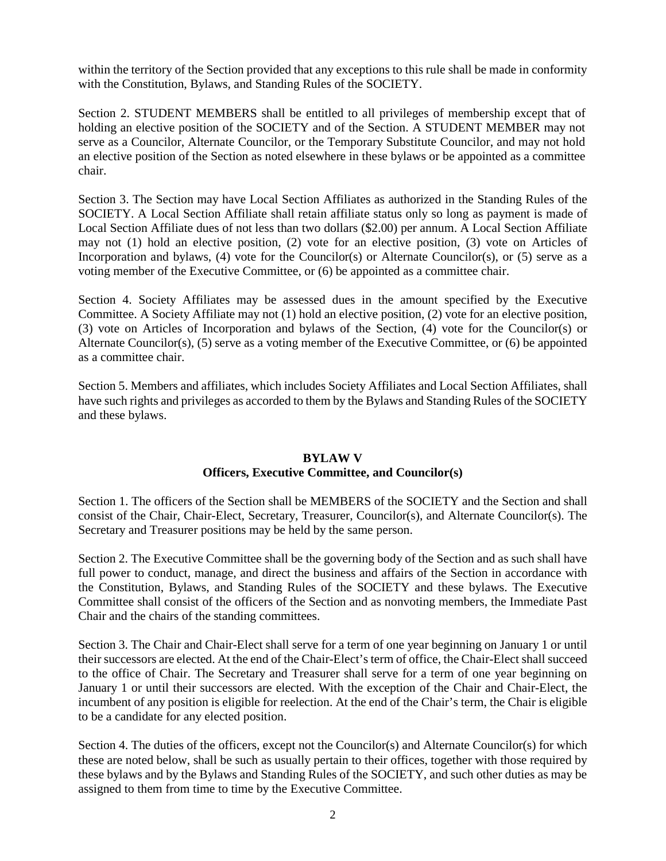within the territory of the Section provided that any exceptions to this rule shall be made in conformity with the Constitution, Bylaws, and Standing Rules of the SOCIETY.

Section 2. STUDENT MEMBERS shall be entitled to all privileges of membership except that of holding an elective position of the SOCIETY and of the Section. A STUDENT MEMBER may not serve as a Councilor, Alternate Councilor, or the Temporary Substitute Councilor, and may not hold an elective position of the Section as noted elsewhere in these bylaws or be appointed as a committee chair.

Section 3. The Section may have Local Section Affiliates as authorized in the Standing Rules of the SOCIETY. A Local Section Affiliate shall retain affiliate status only so long as payment is made of Local Section Affiliate dues of not less than two dollars (\$2.00) per annum. A Local Section Affiliate may not (1) hold an elective position, (2) vote for an elective position, (3) vote on Articles of Incorporation and bylaws, (4) vote for the Councilor(s) or Alternate Councilor(s), or (5) serve as a voting member of the Executive Committee, or (6) be appointed as a committee chair.

Section 4. Society Affiliates may be assessed dues in the amount specified by the Executive Committee. A Society Affiliate may not (1) hold an elective position, (2) vote for an elective position, (3) vote on Articles of Incorporation and bylaws of the Section, (4) vote for the Councilor(s) or Alternate Councilor(s), (5) serve as a voting member of the Executive Committee, or (6) be appointed as a committee chair.

Section 5. Members and affiliates, which includes Society Affiliates and Local Section Affiliates, shall have such rights and privileges as accorded to them by the Bylaws and Standing Rules of the SOCIETY and these bylaws.

#### **BYLAW V**

#### **Officers, Executive Committee, and Councilor(s)**

Section 1. The officers of the Section shall be MEMBERS of the SOCIETY and the Section and shall consist of the Chair, Chair-Elect, Secretary, Treasurer, Councilor(s), and Alternate Councilor(s). The Secretary and Treasurer positions may be held by the same person.

Section 2. The Executive Committee shall be the governing body of the Section and as such shall have full power to conduct, manage, and direct the business and affairs of the Section in accordance with the Constitution, Bylaws, and Standing Rules of the SOCIETY and these bylaws. The Executive Committee shall consist of the officers of the Section and as nonvoting members, the Immediate Past Chair and the chairs of the standing committees.

Section 3. The Chair and Chair-Elect shall serve for a term of one year beginning on January 1 or until their successors are elected. At the end of the Chair-Elect's term of office, the Chair-Elect shall succeed to the office of Chair. The Secretary and Treasurer shall serve for a term of one year beginning on January 1 or until their successors are elected. With the exception of the Chair and Chair-Elect, the incumbent of any position is eligible for reelection. At the end of the Chair's term, the Chair is eligible to be a candidate for any elected position.

Section 4. The duties of the officers, except not the Councilor(s) and Alternate Councilor(s) for which these are noted below, shall be such as usually pertain to their offices, together with those required by these bylaws and by the Bylaws and Standing Rules of the SOCIETY, and such other duties as may be assigned to them from time to time by the Executive Committee.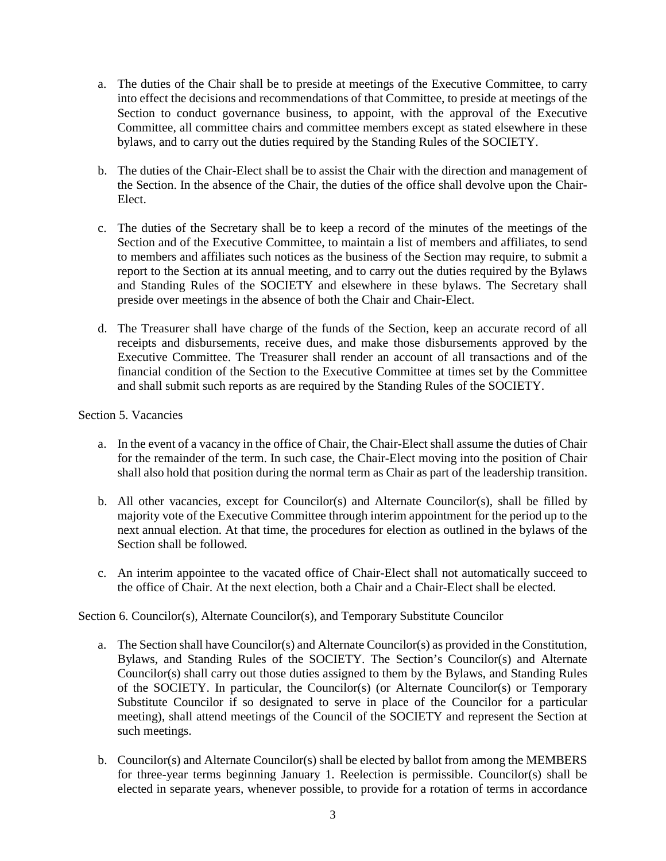- a. The duties of the Chair shall be to preside at meetings of the Executive Committee, to carry into effect the decisions and recommendations of that Committee, to preside at meetings of the Section to conduct governance business, to appoint, with the approval of the Executive Committee, all committee chairs and committee members except as stated elsewhere in these bylaws, and to carry out the duties required by the Standing Rules of the SOCIETY.
- b. The duties of the Chair-Elect shall be to assist the Chair with the direction and management of the Section. In the absence of the Chair, the duties of the office shall devolve upon the Chair-Elect.
- c. The duties of the Secretary shall be to keep a record of the minutes of the meetings of the Section and of the Executive Committee, to maintain a list of members and affiliates, to send to members and affiliates such notices as the business of the Section may require, to submit a report to the Section at its annual meeting, and to carry out the duties required by the Bylaws and Standing Rules of the SOCIETY and elsewhere in these bylaws. The Secretary shall preside over meetings in the absence of both the Chair and Chair-Elect.
- d. The Treasurer shall have charge of the funds of the Section, keep an accurate record of all receipts and disbursements, receive dues, and make those disbursements approved by the Executive Committee. The Treasurer shall render an account of all transactions and of the financial condition of the Section to the Executive Committee at times set by the Committee and shall submit such reports as are required by the Standing Rules of the SOCIETY.

#### Section 5. Vacancies

- a. In the event of a vacancy in the office of Chair, the Chair-Elect shall assume the duties of Chair for the remainder of the term. In such case, the Chair-Elect moving into the position of Chair shall also hold that position during the normal term as Chair as part of the leadership transition.
- b. All other vacancies, except for Councilor(s) and Alternate Councilor(s), shall be filled by majority vote of the Executive Committee through interim appointment for the period up to the next annual election. At that time, the procedures for election as outlined in the bylaws of the Section shall be followed.
- c. An interim appointee to the vacated office of Chair-Elect shall not automatically succeed to the office of Chair. At the next election, both a Chair and a Chair-Elect shall be elected.

Section 6. Councilor(s), Alternate Councilor(s), and Temporary Substitute Councilor

- a. The Section shall have Councilor(s) and Alternate Councilor(s) as provided in the Constitution, Bylaws, and Standing Rules of the SOCIETY. The Section's Councilor(s) and Alternate Councilor(s) shall carry out those duties assigned to them by the Bylaws, and Standing Rules of the SOCIETY. In particular, the Councilor(s) (or Alternate Councilor(s) or Temporary Substitute Councilor if so designated to serve in place of the Councilor for a particular meeting), shall attend meetings of the Council of the SOCIETY and represent the Section at such meetings.
- b. Councilor(s) and Alternate Councilor(s) shall be elected by ballot from among the MEMBERS for three-year terms beginning January 1. Reelection is permissible. Councilor(s) shall be elected in separate years, whenever possible, to provide for a rotation of terms in accordance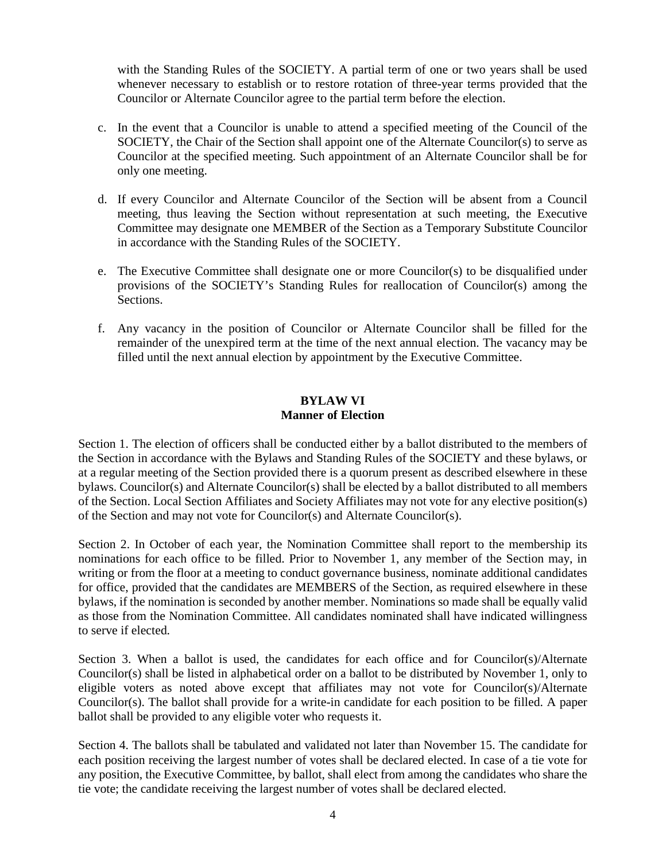with the Standing Rules of the SOCIETY. A partial term of one or two years shall be used whenever necessary to establish or to restore rotation of three-year terms provided that the Councilor or Alternate Councilor agree to the partial term before the election.

- c. In the event that a Councilor is unable to attend a specified meeting of the Council of the SOCIETY, the Chair of the Section shall appoint one of the Alternate Councilor(s) to serve as Councilor at the specified meeting. Such appointment of an Alternate Councilor shall be for only one meeting.
- d. If every Councilor and Alternate Councilor of the Section will be absent from a Council meeting, thus leaving the Section without representation at such meeting, the Executive Committee may designate one MEMBER of the Section as a Temporary Substitute Councilor in accordance with the Standing Rules of the SOCIETY.
- e. The Executive Committee shall designate one or more Councilor(s) to be disqualified under provisions of the SOCIETY's Standing Rules for reallocation of Councilor(s) among the Sections.
- f. Any vacancy in the position of Councilor or Alternate Councilor shall be filled for the remainder of the unexpired term at the time of the next annual election. The vacancy may be filled until the next annual election by appointment by the Executive Committee.

#### **BYLAW VI Manner of Election**

Section 1. The election of officers shall be conducted either by a ballot distributed to the members of the Section in accordance with the Bylaws and Standing Rules of the SOCIETY and these bylaws, or at a regular meeting of the Section provided there is a quorum present as described elsewhere in these bylaws. Councilor(s) and Alternate Councilor(s) shall be elected by a ballot distributed to all members of the Section. Local Section Affiliates and Society Affiliates may not vote for any elective position(s) of the Section and may not vote for Councilor(s) and Alternate Councilor(s).

Section 2. In October of each year, the Nomination Committee shall report to the membership its nominations for each office to be filled. Prior to November 1, any member of the Section may, in writing or from the floor at a meeting to conduct governance business, nominate additional candidates for office, provided that the candidates are MEMBERS of the Section, as required elsewhere in these bylaws, if the nomination is seconded by another member. Nominations so made shall be equally valid as those from the Nomination Committee. All candidates nominated shall have indicated willingness to serve if elected.

Section 3. When a ballot is used, the candidates for each office and for Councilor(s)/Alternate Councilor(s) shall be listed in alphabetical order on a ballot to be distributed by November 1, only to eligible voters as noted above except that affiliates may not vote for Councilor(s)/Alternate Councilor(s). The ballot shall provide for a write-in candidate for each position to be filled. A paper ballot shall be provided to any eligible voter who requests it.

Section 4. The ballots shall be tabulated and validated not later than November 15. The candidate for each position receiving the largest number of votes shall be declared elected. In case of a tie vote for any position, the Executive Committee, by ballot, shall elect from among the candidates who share the tie vote; the candidate receiving the largest number of votes shall be declared elected.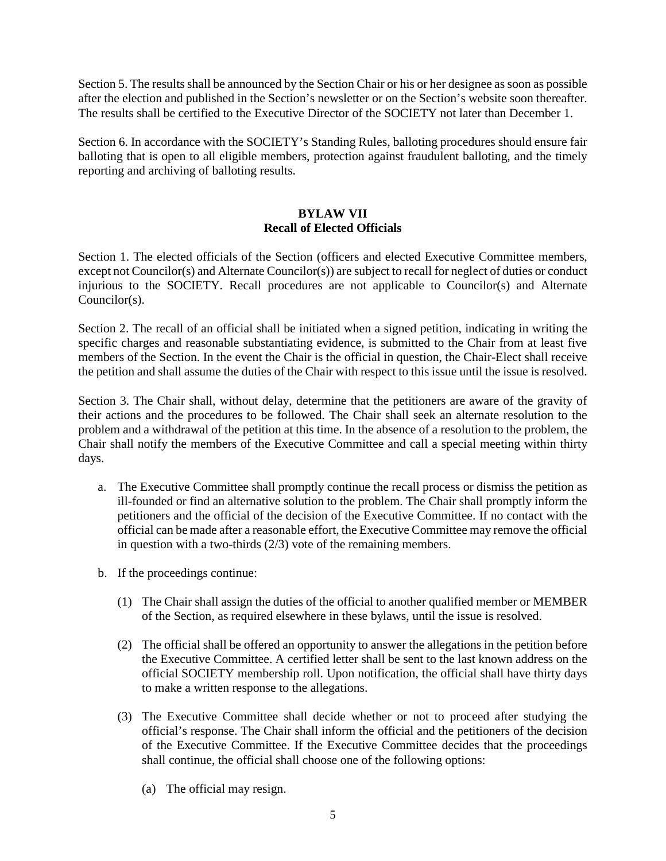Section 5. The results shall be announced by the Section Chair or his or her designee as soon as possible after the election and published in the Section's newsletter or on the Section's website soon thereafter. The results shall be certified to the Executive Director of the SOCIETY not later than December 1.

Section 6. In accordance with the SOCIETY's Standing Rules, balloting procedures should ensure fair balloting that is open to all eligible members, protection against fraudulent balloting, and the timely reporting and archiving of balloting results.

# **BYLAW VII Recall of Elected Officials**

Section 1. The elected officials of the Section (officers and elected Executive Committee members, except not Councilor(s) and Alternate Councilor(s)) are subject to recall for neglect of duties or conduct injurious to the SOCIETY. Recall procedures are not applicable to Councilor(s) and Alternate Councilor(s).

Section 2. The recall of an official shall be initiated when a signed petition, indicating in writing the specific charges and reasonable substantiating evidence, is submitted to the Chair from at least five members of the Section. In the event the Chair is the official in question, the Chair-Elect shall receive the petition and shall assume the duties of the Chair with respect to this issue until the issue is resolved.

Section 3. The Chair shall, without delay, determine that the petitioners are aware of the gravity of their actions and the procedures to be followed. The Chair shall seek an alternate resolution to the problem and a withdrawal of the petition at this time. In the absence of a resolution to the problem, the Chair shall notify the members of the Executive Committee and call a special meeting within thirty days.

- a. The Executive Committee shall promptly continue the recall process or dismiss the petition as ill-founded or find an alternative solution to the problem. The Chair shall promptly inform the petitioners and the official of the decision of the Executive Committee. If no contact with the official can be made after a reasonable effort, the Executive Committee may remove the official in question with a two-thirds (2/3) vote of the remaining members.
- b. If the proceedings continue:
	- (1) The Chair shall assign the duties of the official to another qualified member or MEMBER of the Section, as required elsewhere in these bylaws, until the issue is resolved.
	- (2) The official shall be offered an opportunity to answer the allegations in the petition before the Executive Committee. A certified letter shall be sent to the last known address on the official SOCIETY membership roll. Upon notification, the official shall have thirty days to make a written response to the allegations.
	- (3) The Executive Committee shall decide whether or not to proceed after studying the official's response. The Chair shall inform the official and the petitioners of the decision of the Executive Committee. If the Executive Committee decides that the proceedings shall continue, the official shall choose one of the following options:
		- (a) The official may resign.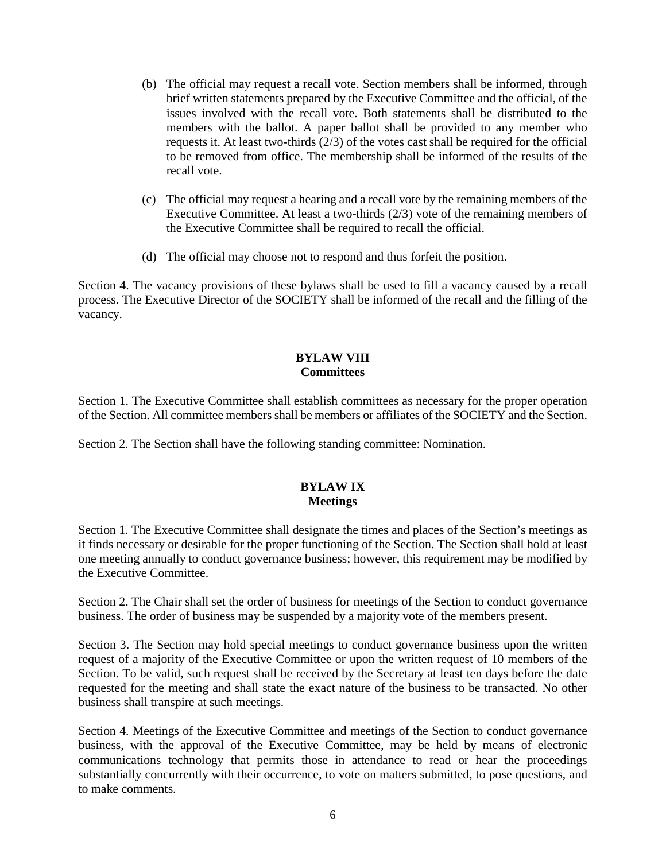- (b) The official may request a recall vote. Section members shall be informed, through brief written statements prepared by the Executive Committee and the official, of the issues involved with the recall vote. Both statements shall be distributed to the members with the ballot. A paper ballot shall be provided to any member who requests it. At least two-thirds (2/3) of the votes cast shall be required for the official to be removed from office. The membership shall be informed of the results of the recall vote.
- (c) The official may request a hearing and a recall vote by the remaining members of the Executive Committee. At least a two-thirds (2/3) vote of the remaining members of the Executive Committee shall be required to recall the official.
- (d) The official may choose not to respond and thus forfeit the position.

Section 4. The vacancy provisions of these bylaws shall be used to fill a vacancy caused by a recall process. The Executive Director of the SOCIETY shall be informed of the recall and the filling of the vacancy.

#### **BYLAW VIII Committees**

Section 1. The Executive Committee shall establish committees as necessary for the proper operation of the Section. All committee members shall be members or affiliates of the SOCIETY and the Section.

Section 2. The Section shall have the following standing committee: Nomination.

### **BYLAW IX Meetings**

Section 1. The Executive Committee shall designate the times and places of the Section's meetings as it finds necessary or desirable for the proper functioning of the Section. The Section shall hold at least one meeting annually to conduct governance business; however, this requirement may be modified by the Executive Committee.

Section 2. The Chair shall set the order of business for meetings of the Section to conduct governance business. The order of business may be suspended by a majority vote of the members present.

Section 3. The Section may hold special meetings to conduct governance business upon the written request of a majority of the Executive Committee or upon the written request of 10 members of the Section. To be valid, such request shall be received by the Secretary at least ten days before the date requested for the meeting and shall state the exact nature of the business to be transacted. No other business shall transpire at such meetings.

Section 4. Meetings of the Executive Committee and meetings of the Section to conduct governance business, with the approval of the Executive Committee, may be held by means of electronic communications technology that permits those in attendance to read or hear the proceedings substantially concurrently with their occurrence, to vote on matters submitted, to pose questions, and to make comments.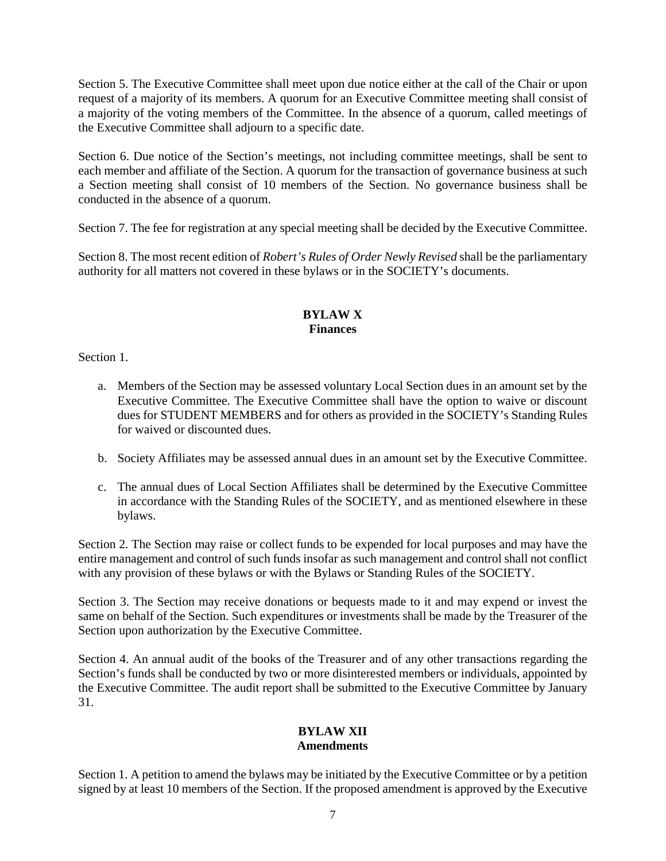Section 5. The Executive Committee shall meet upon due notice either at the call of the Chair or upon request of a majority of its members. A quorum for an Executive Committee meeting shall consist of a majority of the voting members of the Committee. In the absence of a quorum, called meetings of the Executive Committee shall adjourn to a specific date.

Section 6. Due notice of the Section's meetings, not including committee meetings, shall be sent to each member and affiliate of the Section. A quorum for the transaction of governance business at such a Section meeting shall consist of 10 members of the Section. No governance business shall be conducted in the absence of a quorum.

Section 7. The fee for registration at any special meeting shall be decided by the Executive Committee.

Section 8. The most recent edition of *Robert's Rules of Order Newly Revised* shall be the parliamentary authority for all matters not covered in these bylaws or in the SOCIETY's documents.

# **BYLAW X Finances**

Section 1.

- a. Members of the Section may be assessed voluntary Local Section dues in an amount set by the Executive Committee. The Executive Committee shall have the option to waive or discount dues for STUDENT MEMBERS and for others as provided in the SOCIETY's Standing Rules for waived or discounted dues.
- b. Society Affiliates may be assessed annual dues in an amount set by the Executive Committee.
- c. The annual dues of Local Section Affiliates shall be determined by the Executive Committee in accordance with the Standing Rules of the SOCIETY, and as mentioned elsewhere in these bylaws.

Section 2. The Section may raise or collect funds to be expended for local purposes and may have the entire management and control of such funds insofar as such management and control shall not conflict with any provision of these bylaws or with the Bylaws or Standing Rules of the SOCIETY.

Section 3. The Section may receive donations or bequests made to it and may expend or invest the same on behalf of the Section. Such expenditures or investments shall be made by the Treasurer of the Section upon authorization by the Executive Committee.

Section 4. An annual audit of the books of the Treasurer and of any other transactions regarding the Section's funds shall be conducted by two or more disinterested members or individuals, appointed by the Executive Committee. The audit report shall be submitted to the Executive Committee by January 31.

#### **BYLAW XII Amendments**

Section 1. A petition to amend the bylaws may be initiated by the Executive Committee or by a petition signed by at least 10 members of the Section. If the proposed amendment is approved by the Executive